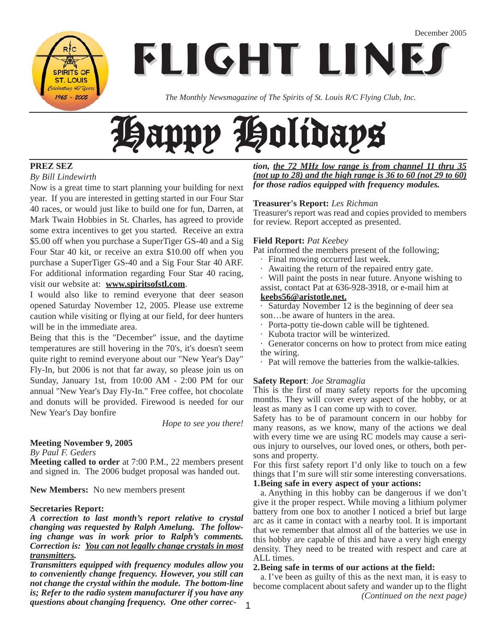**SPIRITS OF ST. LOUIS** lebrating 40 Years  $1965 - 2005$ 

**FLIGHT LINES**

*The Monthly Newsmagazine of The Spirits of St. Louis R/C Flying Club, Inc.*

# Happy Holidays

#### **PREZ SEZ**

*By Bill Lindewirth*

Now is a great time to start planning your building for next year. If you are interested in getting started in our Four Star 40 races, or would just like to build one for fun, Darren, at Mark Twain Hobbies in St. Charles, has agreed to provide some extra incentives to get you started. Receive an extra \$5.00 off when you purchase a SuperTiger GS-40 and a Sig Four Star 40 kit, or receive an extra \$10.00 off when you purchase a SuperTiger GS-40 and a Sig Four Star 40 ARF. For additional information regarding Four Star 40 racing, visit our website at: **www.spiritsofstl.com**.

I would also like to remind everyone that deer season opened Saturday November 12, 2005. Please use extreme caution while visiting or flying at our field, for deer hunters will be in the immediate area.

Being that this is the "December" issue, and the daytime temperatures are still hovering in the 70's, it's doesn't seem quite right to remind everyone about our "New Year's Day" Fly-In, but 2006 is not that far away, so please join us on Sunday, January 1st, from 10:00 AM - 2:00 PM for our annual "New Year's Day Fly-In." Free coffee, hot chocolate and donuts will be provided. Firewood is needed for our New Year's Day bonfire

*Hope to see you there!*

#### **Meeting November 9, 2005**

*By Paul F. Geders*

**Meeting called to order** at 7:00 P.M., 22 members present and signed in. The 2006 budget proposal was handed out.

**New Members:** No new members present

#### **Secretaries Report:**

*A correction to last month's report relative to crystal changing was requested by Ralph Amelung. The following change was in work prior to Ralph's comments. Correction is: You can not legally change crystals in most transmitters.* 

*Transmitters equipped with frequency modules allow you to conveniently change frequency. However, you still can not change the crystal within the module. The bottom-line is; Refer to the radio system manufacturer if you have any questions about changing frequency. One other correc-*

*tion, the 72 MHz low range is from channel 11 thru 35 (not up to 28) and the high range is 36 to 60 (not 29 to 60) for those radios equipped with frequency modules.*

#### **Treasurer's Report:** *Les Richman*

Treasurer's report was read and copies provided to members for review. Report accepted as presented.

#### **Field Report:** *Pat Keebey*

Pat informed the members present of the following;

- · Final mowing occurred last week.
- Awaiting the return of the repaired entry gate.
- Will paint the posts in near future. Anyone wishing to assist, contact Pat at 636-928-3918, or e-mail him at

#### **keebs56@aristotle.net.**

Saturday November 12 is the beginning of deer sea son…be aware of hunters in the area.

- Porta-potty tie-down cable will be tightened.
- · Kubota tractor will be winterized.

· Generator concerns on how to protect from mice eating the wiring.

· Pat will remove the batteries from the walkie-talkies.

#### **Safety Report**: *Joe Stramaglia*

This is the first of many safety reports for the upcoming months. They will cover every aspect of the hobby, or at least as many as I can come up with to cover.

Safety has to be of paramount concern in our hobby for many reasons, as we know, many of the actions we deal with every time we are using RC models may cause a serious injury to ourselves, our loved ones, or others, both persons and property.

For this first safety report I'd only like to touch on a few things that I'm sure will stir some interesting conversations. **1.Being safe in every aspect of your actions:**

a. Anything in this hobby can be dangerous if we don't give it the proper respect. While moving a lithium polymer battery from one box to another I noticed a brief but large arc as it came in contact with a nearby tool. It is important that we remember that almost all of the batteries we use in this hobby are capable of this and have a very high energy density. They need to be treated with respect and care at ALL times.

#### **2.Being safe in terms of our actions at the field:**

a. I've been as guilty of this as the next man, it is easy to become complacent about safety and wander up to the flight *(Continued on the next page)*

1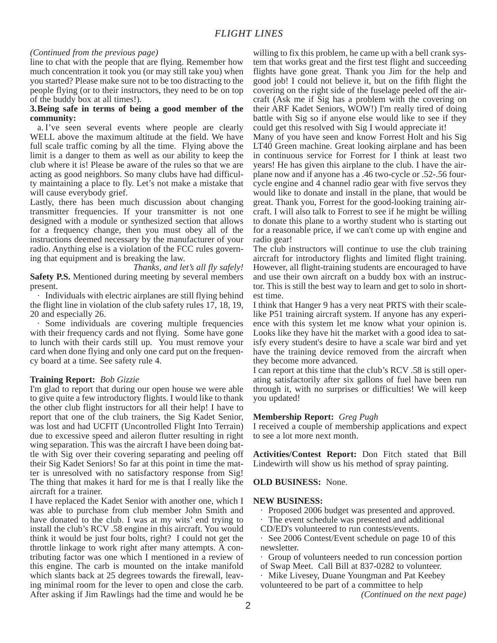#### *(Continued from the previous page)*

line to chat with the people that are flying. Remember how much concentration it took you (or may still take you) when you started? Please make sure not to be too distracting to the people flying (or to their instructors, they need to be on top of the buddy box at all times!).

#### **3.Being safe in terms of being a good member of the community:**

a. I've seen several events where people are clearly WELL above the maximum altitude at the field. We have full scale traffic coming by all the time. Flying above the limit is a danger to them as well as our ability to keep the club where it is! Please be aware of the rules so that we are acting as good neighbors. So many clubs have had difficulty maintaining a place to fly. Let's not make a mistake that will cause everybody grief.

Lastly, there has been much discussion about changing transmitter frequencies. If your transmitter is not one designed with a module or synthesized section that allows for a frequency change, then you must obey all of the instructions deemed necessary by the manufacturer of your radio. Anything else is a violation of the FCC rules governing that equipment and is breaking the law.

*Thanks, and let's all fly safely!* **Safety P.S.** Mentioned during meeting by several members present.

· Individuals with electric airplanes are still flying behind the flight line in violation of the club safety rules 17, 18, 19, 20 and especially 26.

· Some individuals are covering multiple frequencies with their frequency cards and not flying. Some have gone to lunch with their cards still up. You must remove your card when done flying and only one card put on the frequency board at a time. See safety rule 4.

#### **Training Report:** *Bob Gizzie*

I'm glad to report that during our open house we were able to give quite a few introductory flights. I would like to thank the other club flight instructors for all their help! I have to report that one of the club trainers, the Sig Kadet Senior, was lost and had UCFIT (Uncontrolled Flight Into Terrain) due to excessive speed and aileron flutter resulting in right wing separation. This was the aircraft I have been doing battle with Sig over their covering separating and peeling off their Sig Kadet Seniors! So far at this point in time the matter is unresolved with no satisfactory response from Sig! The thing that makes it hard for me is that I really like the aircraft for a trainer.

I have replaced the Kadet Senior with another one, which I was able to purchase from club member John Smith and have donated to the club. I was at my wits' end trying to install the club's RCV .58 engine in this aircraft. You would think it would be just four bolts, right? I could not get the throttle linkage to work right after many attempts. A contributing factor was one which I mentioned in a review of this engine. The carb is mounted on the intake manifold which slants back at 25 degrees towards the firewall, leaving minimal room for the lever to open and close the carb. After asking if Jim Rawlings had the time and would he be

willing to fix this problem, he came up with a bell crank system that works great and the first test flight and succeeding flights have gone great. Thank you Jim for the help and good job! I could not believe it, but on the fifth flight the covering on the right side of the fuselage peeled off the aircraft (Ask me if Sig has a problem with the covering on their ARF Kadet Seniors, WOW!) I'm really tired of doing battle with Sig so if anyone else would like to see if they could get this resolved with Sig I would appreciate it!

Many of you have seen and know Forrest Holt and his Sig LT40 Green machine. Great looking airplane and has been in continuous service for Forrest for I think at least two years! He has given this airplane to the club. I have the airplane now and if anyone has a .46 two-cycle or .52-.56 fourcycle engine and 4 channel radio gear with five servos they would like to donate and install in the plane, that would be great. Thank you, Forrest for the good-looking training aircraft. I will also talk to Forrest to see if he might be willing to donate this plane to a worthy student who is starting out for a reasonable price, if we can't come up with engine and radio gear!

The club instructors will continue to use the club training aircraft for introductory flights and limited flight training. However, all flight-training students are encouraged to have and use their own aircraft on a buddy box with an instructor. This is still the best way to learn and get to solo in shortest time.

I think that Hanger 9 has a very neat PRTS with their scalelike P51 training aircraft system. If anyone has any experience with this system let me know what your opinion is. Looks like they have hit the market with a good idea to satisfy every student's desire to have a scale war bird and yet have the training device removed from the aircraft when they become more advanced.

I can report at this time that the club's RCV .58 is still operating satisfactorily after six gallons of fuel have been run through it, with no surprises or difficulties! We will keep you updated!

#### **Membership Report:** *Greg Pugh*

I received a couple of membership applications and expect to see a lot more next month.

**Activities/Contest Report:** Don Fitch stated that Bill Lindewirth will show us his method of spray painting.

**OLD BUSINESS:** None.

#### **NEW BUSINESS:**

- Proposed 2006 budget was presented and approved.
- · The event schedule was presented and additional
- CD/ED's volunteered to run contests/events.

· See 2006 Contest/Event schedule on page 10 of this newsletter.

· Group of volunteers needed to run concession portion of Swap Meet. Call Bill at 837-0282 to volunteer.

· Mike Livesey, Duane Youngman and Pat Keebey

volunteered to be part of a committee to help

*(Continued on the next page)*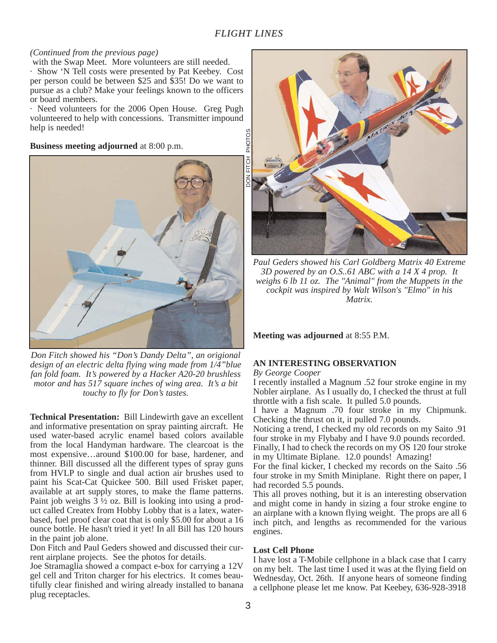#### *(Continued from the previous page)*

with the Swap Meet. More volunteers are still needed.

· Show 'N Tell costs were presented by Pat Keebey. Cost per person could be between \$25 and \$35! Do we want to pursue as a club? Make your feelings known to the officers or board members.

· Need volunteers for the 2006 Open House. Greg Pugh volunteered to help with concessions. Transmitter impound help is needed!

**Business meeting adjourned** at 8:00 p.m.



*Don Fitch showed his "Don's Dandy Delta", an origional design of an electric delta flying wing made from 1/4"blue fan fold foam. It's powered by a Hacker A20-20 brushless motor and has 517 square inches of wing area. It's a bit touchy to fly for Don's tastes.*

**Technical Presentation:** Bill Lindewirth gave an excellent and informative presentation on spray painting aircraft. He used water-based acrylic enamel based colors available from the local Handyman hardware. The clearcoat is the most expensive…around \$100.00 for base, hardener, and thinner. Bill discussed all the different types of spray guns from HVLP to single and dual action air brushes used to paint his Scat-Cat Quickee 500. Bill used Frisket paper, available at art supply stores, to make the flame patterns. Paint job weighs 3 ½ oz. Bill is looking into using a product called Createx from Hobby Lobby that is a latex, waterbased, fuel proof clear coat that is only \$5.00 for about a 16 ounce bottle. He hasn't tried it yet! In all Bill has 120 hours in the paint job alone.

Don Fitch and Paul Geders showed and discussed their current airplane projects. See the photos for details.

Joe Stramaglia showed a compact e-box for carrying a 12V gel cell and Triton charger for his electrics. It comes beautifully clear finished and wiring already installed to banana plug receptacles.



*Paul Geders showed his Carl Goldberg Matrix 40 Extreme 3D powered by an O.S..61 ABC with a 14 X 4 prop. It weighs 6 lb 11 oz. The "Animal" from the Muppets in the cockpit was inspired by Walt Wilson's "Elmo" in his Matrix.*

**Meeting was adjourned** at 8:55 P.M.

#### **AN INTERESTING OBSERVATION**

*By George Cooper*

I recently installed a Magnum .52 four stroke engine in my Nobler airplane. As I usually do, I checked the thrust at full throttle with a fish scale. It pulled 5.0 pounds.

I have a Magnum .70 four stroke in my Chipmunk. Checking the thrust on it, it pulled 7.0 pounds.

Noticing a trend, I checked my old records on my Saito .91 four stroke in my Flybaby and I have 9.0 pounds recorded. Finally, I had to check the records on my OS 120 four stroke in my Ultimate Biplane. 12.0 pounds! Amazing!

For the final kicker, I checked my records on the Saito .56 four stroke in my Smith Miniplane. Right there on paper, I had recorded 5.5 pounds.

This all proves nothing, but it is an interesting observation and might come in handy in sizing a four stroke engine to an airplane with a known flying weight. The props are all 6 inch pitch, and lengths as recommended for the various engines.

#### **Lost Cell Phone**

I have lost a T-Mobile cellphone in a black case that I carry on my belt. The last time I used it was at the flying field on Wednesday, Oct. 26th. If anyone hears of someone finding a cellphone please let me know. Pat Keebey, 636-928-3918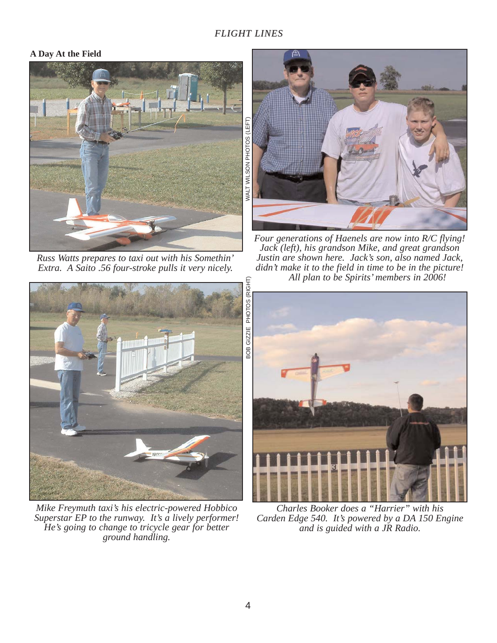#### **A Day At the Field**



*Russ Watts prepares to taxi out with his Somethin' Extra. A Saito .56 four-stroke pulls it very nicely.*



*Mike Freymuth taxi's his electric-powered Hobbico Superstar EP to the runway. It's a lively performer! He's going to change to tricycle gear for better ground handling.* 



*Four generations of Haenels are now into R/C flying! Jack (left), his grandson Mike, and great grandson Justin are shown here. Jack's son, also named Jack, didn't make it to the field in time to be in the picture! All plan to be Spirits' members in 2006!*



*Charles Booker does a "Harrier" with his Carden Edge 540. It's powered by a DA 150 Engine and is guided with a JR Radio.*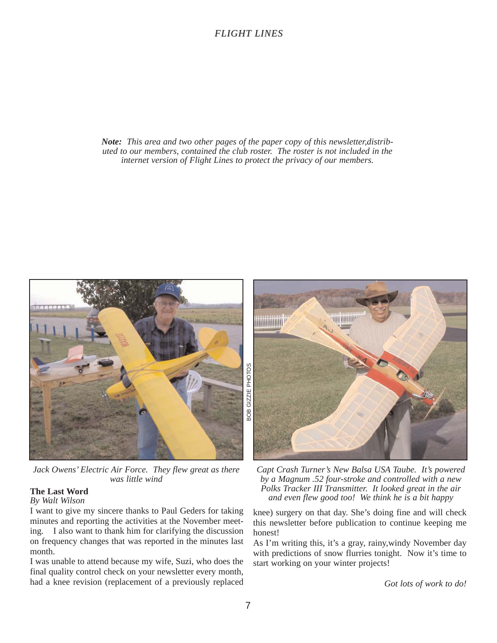#### *Note: This area and two other pages of the paper copy of this newsletter,distributed to our members, contained the club roster. The roster is not included in the internet version of Flight Lines to protect the privacy of our members.*



*Jack Owens' Electric Air Force. They flew great as there was little wind*

#### **The Last Word**

#### *By Walt Wilson*

I want to give my sincere thanks to Paul Geders for taking minutes and reporting the activities at the November meeting. I also want to thank him for clarifying the discussion on frequency changes that was reported in the minutes last month.

I was unable to attend because my wife, Suzi, who does the final quality control check on your newsletter every month, had a knee revision (replacement of a previously replaced



*Capt Crash Turner's New Balsa USA Taube. It's powered by a Magnum .52 four-stroke and controlled with a new Polks Tracker III Transmitter. It looked great in the air and even flew good too! We think he is a bit happy*

knee) surgery on that day. She's doing fine and will check this newsletter before publication to continue keeping me honest!

As I'm writing this, it's a gray, rainy,windy November day with predictions of snow flurries tonight. Now it's time to start working on your winter projects!

*Got lots of work to do!*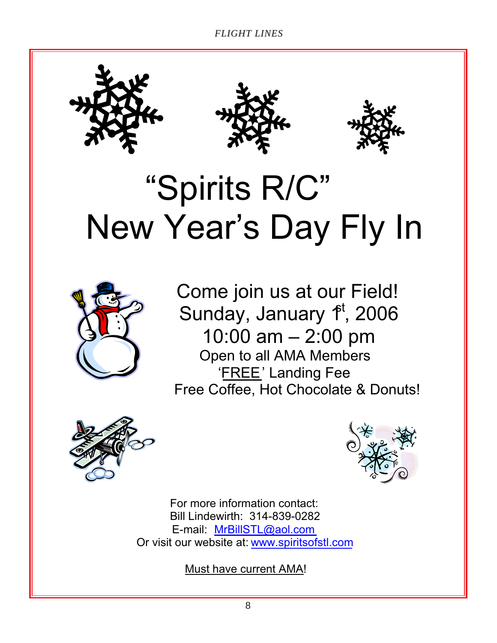





## "Spirits R/C" New Year's Day Fly In



 Come join us at our Field! Sunday, January  $f<sup>t</sup>$ , 2006 10:00 am – 2:00 pm Open to all AMA Members 'FREE' Landing Fee Free Coffee, Hot Chocolate & Donuts!





For more information contact: Bill Lindewirth: 314-839-0282 E-mail: MrBillSTL@aol.com Or visit our website at: www.spiritsofstl.com

Must have current AMA!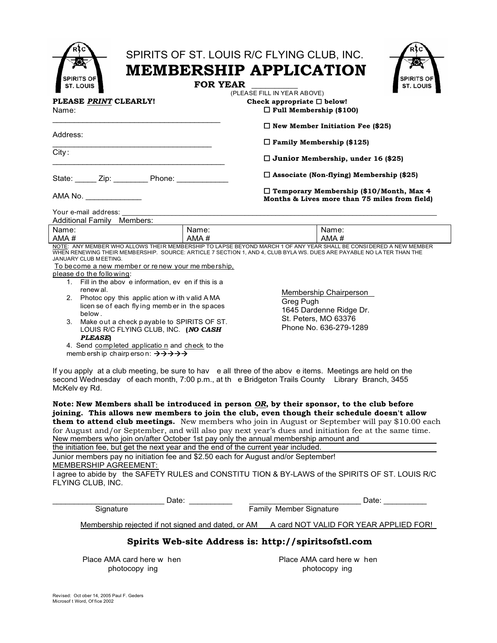| SPIRITS OF<br>ST. LOUIS                                                                                                                                                                                                                                             | SPIRITS OF ST. LOUIS R/C FLYING CLUB, INC.<br><b>MEMBERSHIP APPLICATION</b><br>SPIRITS O<br><b>FOR YEAR</b><br>ST. LOUIS<br>(PLEASE FILL IN YEAR ABOVE) |  |  |
|---------------------------------------------------------------------------------------------------------------------------------------------------------------------------------------------------------------------------------------------------------------------|---------------------------------------------------------------------------------------------------------------------------------------------------------|--|--|
| PLEASE PRINT CLEARLY!<br>Name:                                                                                                                                                                                                                                      | Check appropriate $\square$ below!<br>$\Box$ Full Membership (\$100)                                                                                    |  |  |
| Address:                                                                                                                                                                                                                                                            | $\Box$ New Member Initiation Fee (\$25)<br>$\Box$ Family Membership (\$125)                                                                             |  |  |
| City:                                                                                                                                                                                                                                                               | $\Box$ Junior Membership, under 16 (\$25)                                                                                                               |  |  |
| State: Zip: Phone:                                                                                                                                                                                                                                                  | $\Box$ Associate (Non-flying) Membership (\$25)                                                                                                         |  |  |
| AMA No.                                                                                                                                                                                                                                                             | $\Box$ Temporary Membership (\$10/Month, Max 4<br>Months & Lives more than 75 miles from field)                                                         |  |  |
| Your e-mail address:<br>Additional Family Members:                                                                                                                                                                                                                  |                                                                                                                                                         |  |  |
| Name:<br>Name:<br>AMA#<br>AMA#                                                                                                                                                                                                                                      | Name:<br>AMA#                                                                                                                                           |  |  |
| NOTE: ANY MEMBER WHO ALLOWS THEIR MEMBERSHIP TO LAPSE BEYOND MARCH 1 OF ANY YEAR SHALL BE CONSIDERED A NEW MEMBER<br>WHEN RENEWING THEIR MEMBERSHIP. SOURCE: ARTICLE 7 SECTION 1, AND 4, CLUB BYLA WS. DUES ARE PAYABLE NO LA TER THAN THE<br>JANUARY CLUB MEETING. |                                                                                                                                                         |  |  |
| To become a new member or renew your me mbership,<br>please do the following:                                                                                                                                                                                       |                                                                                                                                                         |  |  |
| 1. Fill in the abov e information, ev en if this is a                                                                                                                                                                                                               |                                                                                                                                                         |  |  |
| renew al.<br>Photoc opy this applic ation w ith valid AMA<br>2.<br>licen se of each flying member in the spaces<br>below.                                                                                                                                           | Membership Chairperson<br>Greg Pugh<br>1645 Dardenne Ridge Dr.                                                                                          |  |  |

If you apply at a club meeting, be sure to hav e all three of the abov e items. Meetings are held on the second Wednesday of each month, 7:00 p.m., at th e Bridgeton Trails County Library Branch, 3455 McKelv ey Rd.

**Note: New Members shall be introduced in person** *OR***, by their sponsor, to the club before joining. This allows new members to join the club, even though their schedule doesn't allow them to attend club meetings.** New members who join in August or September will pay \$10.00 each for August and/or September, and will also pay next year's dues and initiation fee at the same time. New members who join on/after October 1st pay only the annual membership amount and

the initiation fee, but get the next year and the end of the current year included.

Junior members pay no initiation fee and \$2.50 each for August and/or September! MEMBERSHIP AGREEMENT:

I agree to abide by the SAFETY RULES and CONSTITU TION & BY-LAWS of the SPIRITS OF ST. LOUIS R/C FLYING CLUB, INC.

| Date:                                                | Date:                                  |  |  |
|------------------------------------------------------|----------------------------------------|--|--|
| Signature                                            | <b>Family Member Signature</b>         |  |  |
| Membership rejected if not signed and dated, or AM   | A card NOT VALID FOR YEAR APPLIED FOR! |  |  |
| Snirite Wah-eita Address is: http://sniriteofst1.com |                                        |  |  |

#### **Spirits Web-site Address is: http://spiritsofstl.com**

photocopy ing photocopy ing

4. Send completed applicatio n and check to the

memb ersh ip chairp erso n:  $\rightarrow \rightarrow \rightarrow \rightarrow$ 

Place AMA card here w hen **Place AMA card here w** hen